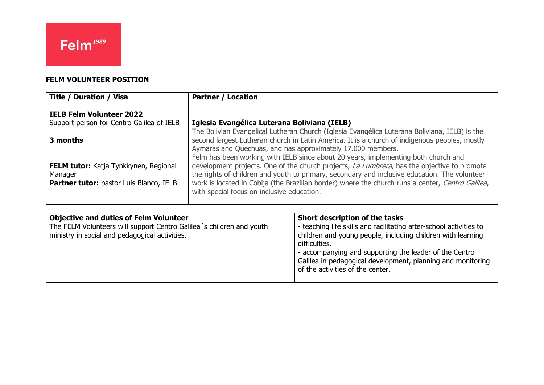## **FELM VOLUNTEER POSITION**

| <b>Title / Duration / Visa</b>                                                                            | <b>Partner / Location</b>                                                                                                                                                                                                                                                                                                                      |
|-----------------------------------------------------------------------------------------------------------|------------------------------------------------------------------------------------------------------------------------------------------------------------------------------------------------------------------------------------------------------------------------------------------------------------------------------------------------|
| <b>IELB Felm Volunteer 2022</b><br>Support person for Centro Galilea of IELB                              | Iglesia Evangélica Luterana Boliviana (IELB)                                                                                                                                                                                                                                                                                                   |
|                                                                                                           | The Bolivian Evangelical Lutheran Church (Iglesia Evangélica Luterana Boliviana, IELB) is the                                                                                                                                                                                                                                                  |
| 3 months                                                                                                  | second largest Lutheran church in Latin America. It is a church of indigenous peoples, mostly<br>Aymaras and Quechuas, and has approximately 17.000 members.<br>Felm has been working with IELB since about 20 years, implementing both church and                                                                                             |
| <b>FELM tutor:</b> Katja Tynkkynen, Regional<br>Manager<br><b>Partner tutor:</b> pastor Luis Blanco, IELB | development projects. One of the church projects, La Lumbrera, has the objective to promote<br>the rights of children and youth to primary, secondary and inclusive education. The volunteer<br>work is located in Cobija (the Brazilian border) where the church runs a center, Centro Galilea,<br>with special focus on inclusive education. |

| <b>Objective and duties of Felm Volunteer</b><br>The FELM Volunteers will support Centro Galilea's children and youth<br>ministry in social and pedagogical activities. | Short description of the tasks<br>- teaching life skills and facilitating after-school activities to<br>children and young people, including children with learning<br>difficulties.<br>- accompanying and supporting the leader of the Centro<br>Galilea in pedagogical development, planning and monitoring<br>of the activities of the center. |
|-------------------------------------------------------------------------------------------------------------------------------------------------------------------------|---------------------------------------------------------------------------------------------------------------------------------------------------------------------------------------------------------------------------------------------------------------------------------------------------------------------------------------------------|
|                                                                                                                                                                         |                                                                                                                                                                                                                                                                                                                                                   |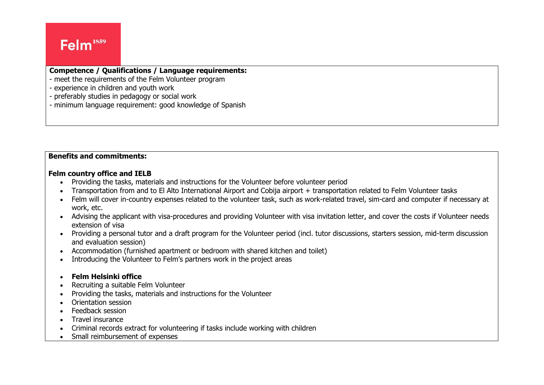# Felm<sup>1859</sup>

## **Competence / Qualifications / Language requirements:**

- meet the requirements of the Felm Volunteer program
- experience in children and youth work
- preferably studies in pedagogy or social work
- minimum language requirement: good knowledge of Spanish

### **Benefits and commitments:**

#### **Felm country office and IELB**

- Providing the tasks, materials and instructions for the Volunteer before volunteer period
- Transportation from and to El Alto International Airport and Cobija airport + transportation related to Felm Volunteer tasks
- Felm will cover in-country expenses related to the volunteer task, such as work-related travel, sim-card and computer if necessary at work, etc.
- Advising the applicant with visa-procedures and providing Volunteer with visa invitation letter, and cover the costs if Volunteer needs extension of visa
- Providing a personal tutor and a draft program for the Volunteer period (incl. tutor discussions, starters session, mid-term discussion and evaluation session)
- Accommodation (furnished apartment or bedroom with shared kitchen and toilet)
- Introducing the Volunteer to Felm's partners work in the project areas

### • **Felm Helsinki office**

- Recruiting a suitable Felm Volunteer
- Providing the tasks, materials and instructions for the Volunteer
- Orientation session
- Feedback session
- Travel insurance
- Criminal records extract for volunteering if tasks include working with children
- Small reimbursement of expenses